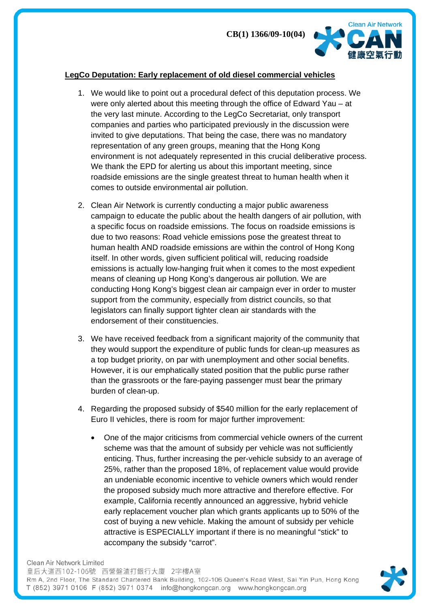

## **LegCo Deputation: Early replacement of old diesel commercial vehicles**

- 1. We would like to point out a procedural defect of this deputation process. We were only alerted about this meeting through the office of Edward Yau – at the very last minute. According to the LegCo Secretariat, only transport companies and parties who participated previously in the discussion were invited to give deputations. That being the case, there was no mandatory representation of any green groups, meaning that the Hong Kong environment is not adequately represented in this crucial deliberative process. We thank the EPD for alerting us about this important meeting, since roadside emissions are the single greatest threat to human health when it comes to outside environmental air pollution.
- 2. Clean Air Network is currently conducting a major public awareness campaign to educate the public about the health dangers of air pollution, with a specific focus on roadside emissions. The focus on roadside emissions is due to two reasons: Road vehicle emissions pose the greatest threat to human health AND roadside emissions are within the control of Hong Kong itself. In other words, given sufficient political will, reducing roadside emissions is actually low-hanging fruit when it comes to the most expedient means of cleaning up Hong Kong's dangerous air pollution. We are conducting Hong Kong's biggest clean air campaign ever in order to muster support from the community, especially from district councils, so that legislators can finally support tighter clean air standards with the endorsement of their constituencies.
- 3. We have received feedback from a significant majority of the community that they would support the expenditure of public funds for clean-up measures as a top budget priority, on par with unemployment and other social benefits. However, it is our emphatically stated position that the public purse rather than the grassroots or the fare-paying passenger must bear the primary burden of clean-up.
- 4. Regarding the proposed subsidy of \$540 million for the early replacement of Euro II vehicles, there is room for major further improvement:
	- One of the major criticisms from commercial vehicle owners of the current scheme was that the amount of subsidy per vehicle was not sufficiently enticing. Thus, further increasing the per-vehicle subsidy to an average of 25%, rather than the proposed 18%, of replacement value would provide an undeniable economic incentive to vehicle owners which would render the proposed subsidy much more attractive and therefore effective. For example, California recently announced an aggressive, hybrid vehicle early replacement voucher plan which grants applicants up to 50% of the cost of buying a new vehicle. Making the amount of subsidy per vehicle attractive is ESPECIALLY important if there is no meaningful "stick" to accompany the subsidy "carrot".